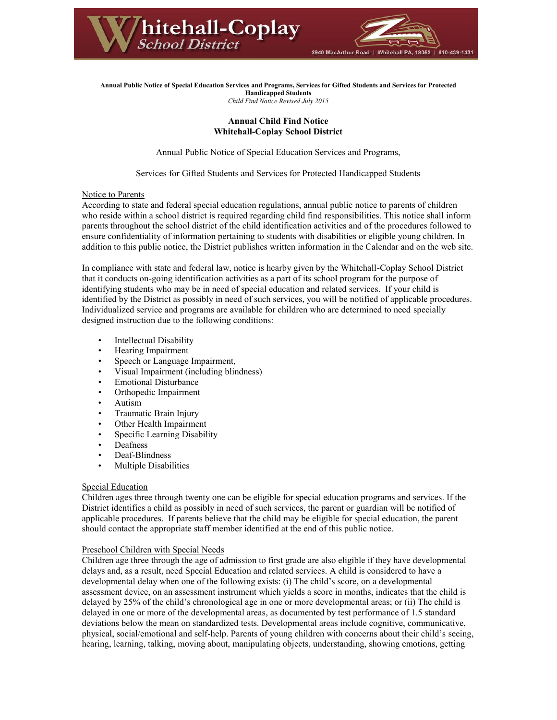

**Annual Public Notice of Special Education Services and Programs, Services for Gifted Students and Services for Protected Handicapped Students** *Child Find Notice Revised July 2015*

# **Annual Child Find Notice Whitehall-Coplay School District**

Annual Public Notice of Special Education Services and Programs,

Services for Gifted Students and Services for Protected Handicapped Students

# Notice to Parents

According to state and federal special education regulations, annual public notice to parents of children who reside within a school district is required regarding child find responsibilities. This notice shall inform parents throughout the school district of the child identification activities and of the procedures followed to ensure confidentiality of information pertaining to students with disabilities or eligible young children. In addition to this public notice, the District publishes written information in the Calendar and on the web site.

In compliance with state and federal law, notice is hearby given by the Whitehall-Coplay School District that it conducts on-going identification activities as a part of its school program for the purpose of identifying students who may be in need of special education and related services. If your child is identified by the District as possibly in need of such services, you will be notified of applicable procedures. Individualized service and programs are available for children who are determined to need specially designed instruction due to the following conditions:

- Intellectual Disability
- Hearing Impairment
- Speech or Language Impairment,
- Visual Impairment (including blindness)
- Emotional Disturbance
- Orthopedic Impairment
- Autism
- Traumatic Brain Injury
- Other Health Impairment
- Specific Learning Disability
- **Deafness**
- Deaf-Blindness
- Multiple Disabilities

### Special Education

Children ages three through twenty one can be eligible for special education programs and services. If the District identifies a child as possibly in need of such services, the parent or guardian will be notified of applicable procedures. If parents believe that the child may be eligible for special education, the parent should contact the appropriate staff member identified at the end of this public notice.

# Preschool Children with Special Needs

Children age three through the age of admission to first grade are also eligible if they have developmental delays and, as a result, need Special Education and related services. A child is considered to have a developmental delay when one of the following exists: (i) The child's score, on a developmental assessment device, on an assessment instrument which yields a score in months, indicates that the child is delayed by 25% of the child's chronological age in one or more developmental areas; or (ii) The child is delayed in one or more of the developmental areas, as documented by test performance of 1.5 standard deviations below the mean on standardized tests. Developmental areas include cognitive, communicative, physical, social/emotional and self-help. Parents of young children with concerns about their child's seeing, hearing, learning, talking, moving about, manipulating objects, understanding, showing emotions, getting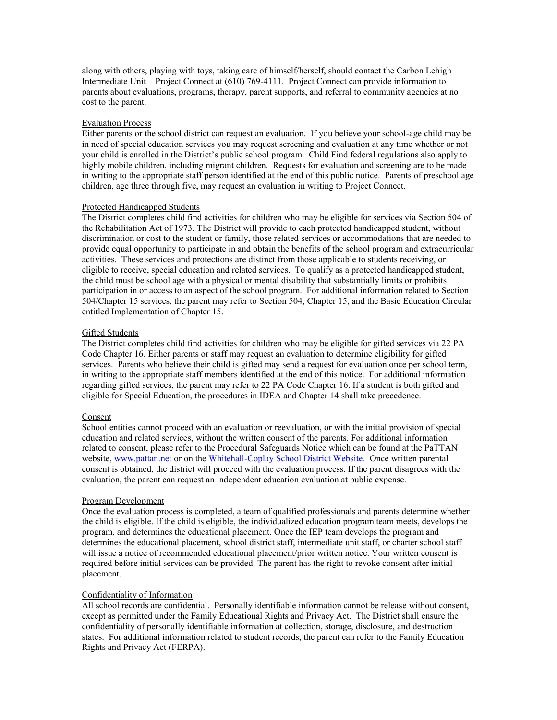along with others, playing with toys, taking care of himself/herself, should contact the Carbon Lehigh Intermediate Unit – Project Connect at (610) 769-4111. Project Connect can provide information to parents about evaluations, programs, therapy, parent supports, and referral to community agencies at no cost to the parent.

# Evaluation Process

Either parents or the school district can request an evaluation. If you believe your school-age child may be in need of special education services you may request screening and evaluation at any time whether or not your child is enrolled in the District's public school program. Child Find federal regulations also apply to highly mobile children, including migrant children. Requests for evaluation and screening are to be made in writing to the appropriate staff person identified at the end of this public notice. Parents of preschool age children, age three through five, may request an evaluation in writing to Project Connect.

### Protected Handicapped Students

The District completes child find activities for children who may be eligible for services via Section 504 of the Rehabilitation Act of 1973. The District will provide to each protected handicapped student, without discrimination or cost to the student or family, those related services or accommodations that are needed to provide equal opportunity to participate in and obtain the benefits of the school program and extracurricular activities. These services and protections are distinct from those applicable to students receiving, or eligible to receive, special education and related services. To qualify as a protected handicapped student, the child must be school age with a physical or mental disability that substantially limits or prohibits participation in or access to an aspect of the school program. For additional information related to Section 504/Chapter 15 services, the parent may refer to Section 504, Chapter 15, and the Basic Education Circular entitled Implementation of Chapter 15.

### Gifted Students

The District completes child find activities for children who may be eligible for gifted services via 22 PA Code Chapter 16. Either parents or staff may request an evaluation to determine eligibility for gifted services. Parents who believe their child is gifted may send a request for evaluation once per school term, in writing to the appropriate staff members identified at the end of this notice. For additional information regarding gifted services, the parent may refer to 22 PA Code Chapter 16. If a student is both gifted and eligible for Special Education, the procedures in IDEA and Chapter 14 shall take precedence.

#### Consent

School entities cannot proceed with an evaluation or reevaluation, or with the initial provision of special education and related services, without the written consent of the parents. For additional information related to consent, please refer to the Procedural Safeguards Notice which can be found at the PaTTAN website, [www.pattan.net](http://nwlehighsd.org/www.pattan.net) or on the [Whitehall-Coplay School District Website. Once written parental](http://www.whitehallcoplay.org/)  consent is obtained, the district will proceed with the evaluation process. If the parent disagrees with the evaluation, the parent can request an independent education evaluation at public expense.

#### Program Development

Once the evaluation process is completed, a team of qualified professionals and parents determine whether the child is eligible. If the child is eligible, the individualized education program team meets, develops the program, and determines the educational placement. Once the IEP team develops the program and determines the educational placement, school district staff, intermediate unit staff, or charter school staff will issue a notice of recommended educational placement/prior written notice. Your written consent is required before initial services can be provided. The parent has the right to revoke consent after initial placement.

### Confidentiality of Information

All school records are confidential. Personally identifiable information cannot be release without consent, except as permitted under the Family Educational Rights and Privacy Act. The District shall ensure the confidentiality of personally identifiable information at collection, storage, disclosure, and destruction states. For additional information related to student records, the parent can refer to the Family Education Rights and Privacy Act (FERPA).